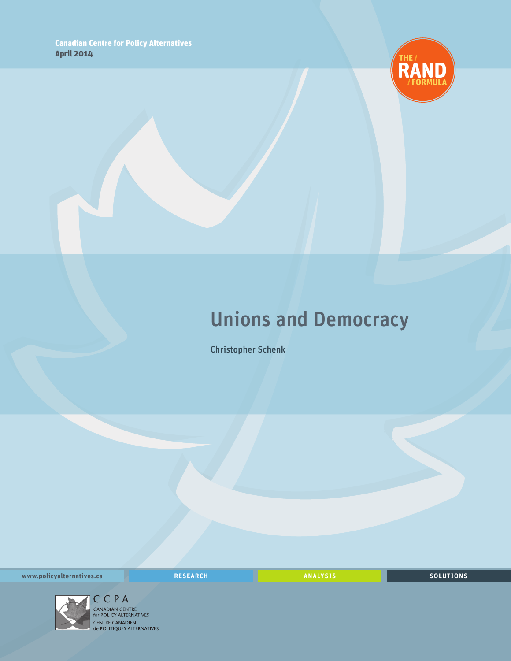

### Unions and Democracy

Christopher Schenk

**www.policyalternatives.ca** <mark>RESEARCH</mark> ANALYSIS SOLUTIONS



 $\begin{array}{l} \displaystyle \mathop{\mathsf{CC}}\limits_{\displaystyle \mathsf{C}}\mathsf{P}\;\mathsf{A} \end{array}$  canadian centre<br>for policy alternatives<br>centre canadien<br>de politiques alternatives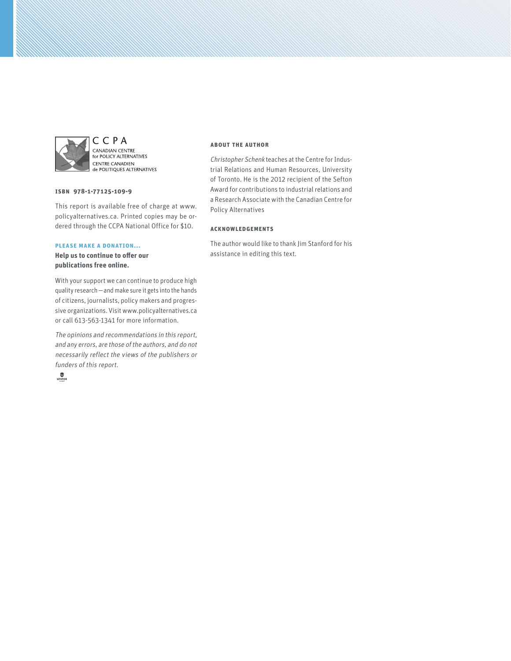

CCPA CANADIAN CENTRE<br>for POLICY ALTERNATIVES **CENTRE CANADIEN** de POLITIQUES ALTERNATIVES

### **ISBN 978-1-77125-109-9**

This report is available free of charge at www. policyalternatives.ca. Printed copies may be ordered through the CCPA National Office for \$10.

#### **Please make a donation...**

**Help us to continue to offer our publications free online.**

With your support we can continue to produce high quality research—and make sure it gets into the hands of citizens, journalists, policy makers and progressive organizations. Visit www.policyalternatives.ca or call 613-563-1341 for more information.

The opinions and recommendations in this report, and any errors, are those of the authors, and do not necessarily reflect the views of the publishers or funders of this report.



#### **About the author**

Christopher Schenk teaches at the Centre for Industrial Relations and Human Resources, University of Toronto. He is the 2012 recipient of the Sefton Award for contributions to industrial relations and a Research Associate with the Canadian Centre for Policy Alternatives

### **Acknowledgements**

The author would like to thank Jim Stanford for his assistance in editing this text.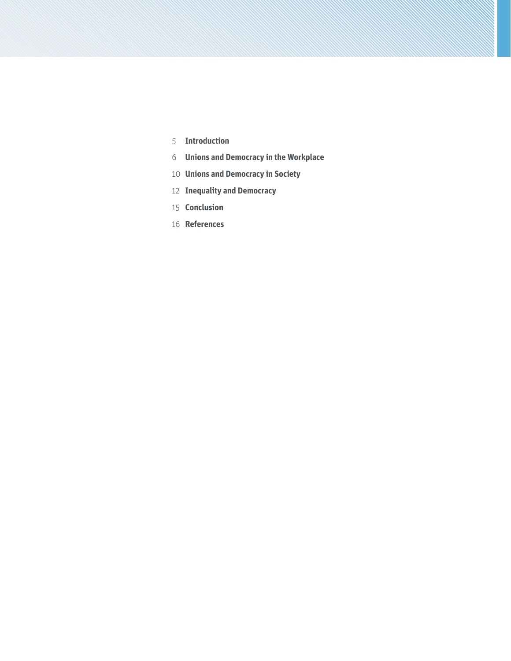- **Introduction**
- **Unions and Democracy in the Workplace**
- **Unions and Democracy in Society**
- **Inequality and Democracy**
- **Conclusion**
- **References**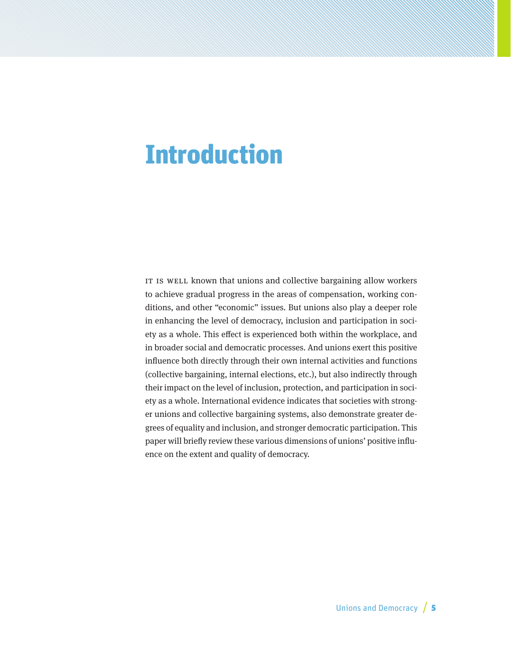# Introduction

IT IS WELL known that unions and collective bargaining allow workers to achieve gradual progress in the areas of compensation, working conditions, and other "economic" issues. But unions also play a deeper role in enhancing the level of democracy, inclusion and participation in society as a whole. This effect is experienced both within the workplace, and in broader social and democratic processes. And unions exert this positive influence both directly through their own internal activities and functions (collective bargaining, internal elections, etc.), but also indirectly through their impact on the level of inclusion, protection, and participation in society as a whole. International evidence indicates that societies with stronger unions and collective bargaining systems, also demonstrate greater degrees of equality and inclusion, and stronger democratic participation. This paper will briefly review these various dimensions of unions' positive influence on the extent and quality of democracy.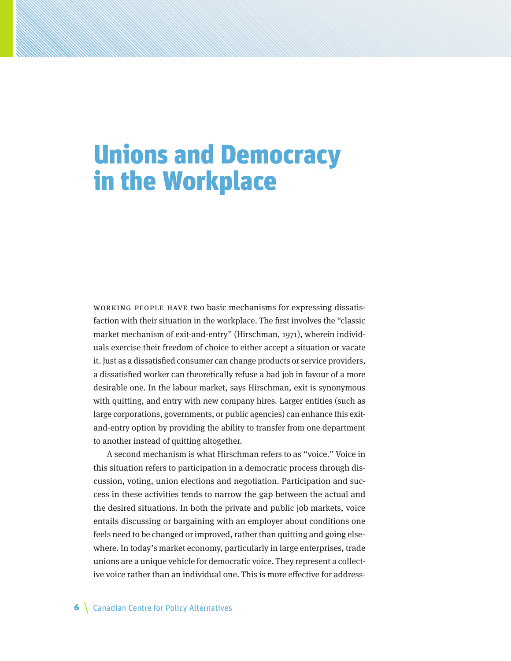# Unions and Democracy in the Workplace

Working people have two basic mechanisms for expressing dissatisfaction with their situation in the workplace. The first involves the "classic market mechanism of exit-and-entry" (Hirschman, 1971), wherein individuals exercise their freedom of choice to either accept a situation or vacate it. Just as a dissatisfied consumer can change products or service providers, a dissatisfied worker can theoretically refuse a bad job in favour of a more desirable one. In the labour market, says Hirschman, exit is synonymous with quitting, and entry with new company hires. Larger entities (such as large corporations, governments, or public agencies) can enhance this exitand-entry option by providing the ability to transfer from one department to another instead of quitting altogether.

A second mechanism is what Hirschman refers to as "voice." Voice in this situation refers to participation in a democratic process through discussion, voting, union elections and negotiation. Participation and success in these activities tends to narrow the gap between the actual and the desired situations. In both the private and public job markets, voice entails discussing or bargaining with an employer about conditions one feels need to be changed or improved, rather than quitting and going elsewhere. In today's market economy, particularly in large enterprises, trade unions are a unique vehicle for democratic voice. They represent a collective voice rather than an individual one. This is more effective for address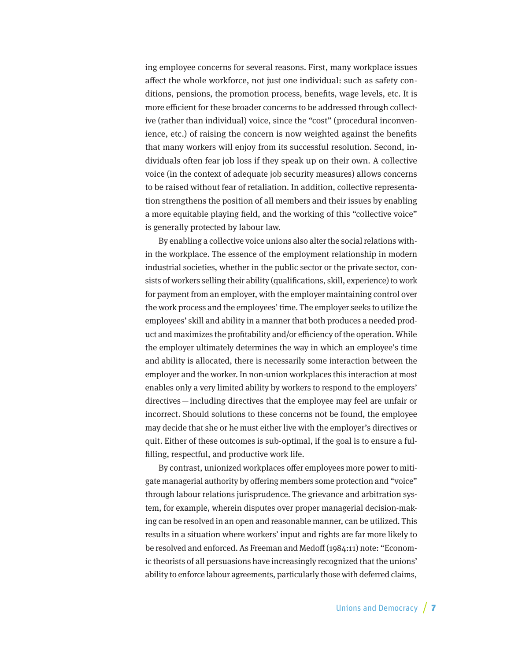ing employee concerns for several reasons. First, many workplace issues affect the whole workforce, not just one individual: such as safety conditions, pensions, the promotion process, benefits, wage levels, etc. It is more efficient for these broader concerns to be addressed through collective (rather than individual) voice, since the "cost" (procedural inconvenience, etc.) of raising the concern is now weighted against the benefits that many workers will enjoy from its successful resolution. Second, individuals often fear job loss if they speak up on their own. A collective voice (in the context of adequate job security measures) allows concerns to be raised without fear of retaliation. In addition, collective representation strengthens the position of all members and their issues by enabling a more equitable playing field, and the working of this "collective voice" is generally protected by labour law.

By enabling a collective voice unions also alter the social relations within the workplace. The essence of the employment relationship in modern industrial societies, whether in the public sector or the private sector, consists of workers selling their ability (qualifications, skill, experience) to work for payment from an employer, with the employer maintaining control over the work process and the employees' time. The employer seeks to utilize the employees' skill and ability in a manner that both produces a needed product and maximizes the profitability and/or efficiency of the operation. While the employer ultimately determines the way in which an employee's time and ability is allocated, there is necessarily some interaction between the employer and the worker. In non-union workplaces this interaction at most enables only a very limited ability by workers to respond to the employers' directives—including directives that the employee may feel are unfair or incorrect. Should solutions to these concerns not be found, the employee may decide that she or he must either live with the employer's directives or quit. Either of these outcomes is sub-optimal, if the goal is to ensure a fulfilling, respectful, and productive work life.

By contrast, unionized workplaces offer employees more power to mitigate managerial authority by offering members some protection and "voice" through labour relations jurisprudence. The grievance and arbitration system, for example, wherein disputes over proper managerial decision-making can be resolved in an open and reasonable manner, can be utilized. This results in a situation where workers' input and rights are far more likely to be resolved and enforced. As Freeman and Medoff (1984:11) note: "Economic theorists of all persuasions have increasingly recognized that the unions' ability to enforce labour agreements, particularly those with deferred claims,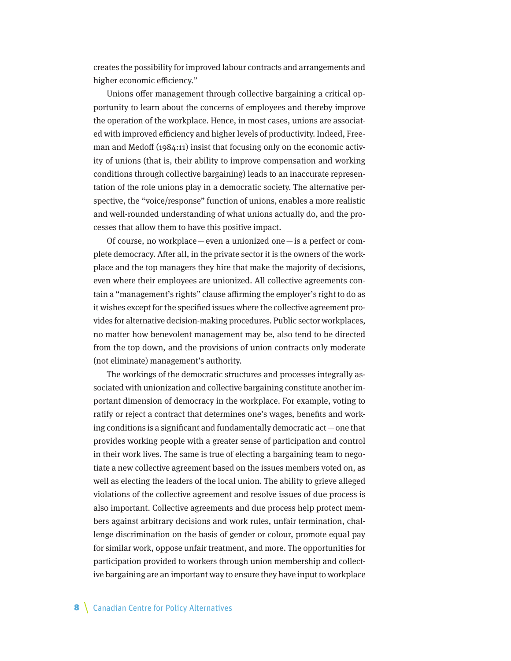creates the possibility for improved labour contracts and arrangements and higher economic efficiency."

Unions offer management through collective bargaining a critical opportunity to learn about the concerns of employees and thereby improve the operation of the workplace. Hence, in most cases, unions are associated with improved efficiency and higher levels of productivity. Indeed, Freeman and Medoff (1984:11) insist that focusing only on the economic activity of unions (that is, their ability to improve compensation and working conditions through collective bargaining) leads to an inaccurate representation of the role unions play in a democratic society. The alternative perspective, the "voice/response" function of unions, enables a more realistic and well-rounded understanding of what unions actually do, and the processes that allow them to have this positive impact.

Of course, no workplace — even a unionized one — is a perfect or complete democracy. After all, in the private sector it is the owners of the workplace and the top managers they hire that make the majority of decisions, even where their employees are unionized. All collective agreements contain a "management's rights" clause affirming the employer's right to do as it wishes except for the specified issues where the collective agreement provides for alternative decision-making procedures. Public sector workplaces, no matter how benevolent management may be, also tend to be directed from the top down, and the provisions of union contracts only moderate (not eliminate) management's authority.

The workings of the democratic structures and processes integrally associated with unionization and collective bargaining constitute another important dimension of democracy in the workplace. For example, voting to ratify or reject a contract that determines one's wages, benefits and working conditions is a significant and fundamentally democratic  $act$  – one that provides working people with a greater sense of participation and control in their work lives. The same is true of electing a bargaining team to negotiate a new collective agreement based on the issues members voted on, as well as electing the leaders of the local union. The ability to grieve alleged violations of the collective agreement and resolve issues of due process is also important. Collective agreements and due process help protect members against arbitrary decisions and work rules, unfair termination, challenge discrimination on the basis of gender or colour, promote equal pay for similar work, oppose unfair treatment, and more. The opportunities for participation provided to workers through union membership and collective bargaining are an important way to ensure they have input to workplace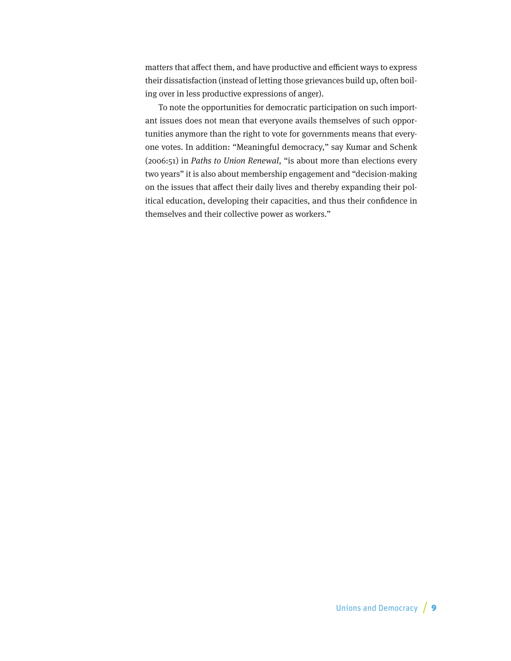matters that affect them, and have productive and efficient ways to express their dissatisfaction (instead of letting those grievances build up, often boiling over in less productive expressions of anger).

To note the opportunities for democratic participation on such important issues does not mean that everyone avails themselves of such opportunities anymore than the right to vote for governments means that everyone votes. In addition: "Meaningful democracy," say Kumar and Schenk (2006:51) in Paths to Union Renewal, "is about more than elections every two years" it is also about membership engagement and "decision-making on the issues that affect their daily lives and thereby expanding their political education, developing their capacities, and thus their confidence in themselves and their collective power as workers."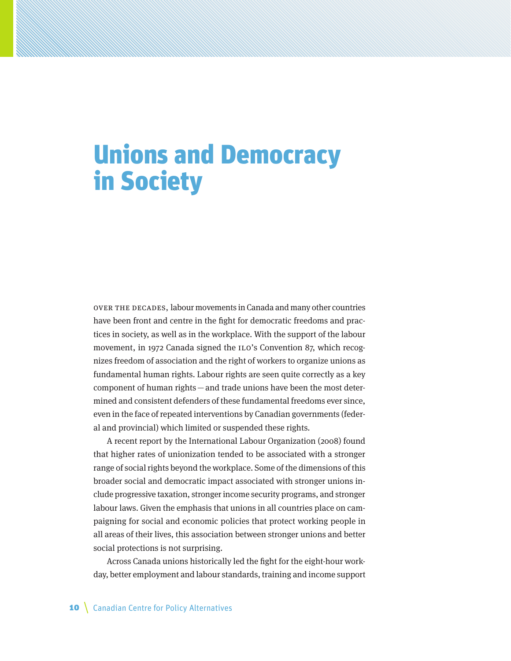# Unions and Democracy in Society

Over the decades, labour movements in Canada and many other countries have been front and centre in the fight for democratic freedoms and practices in society, as well as in the workplace. With the support of the labour movement, in 1972 Canada signed the ILO's Convention 87, which recognizes freedom of association and the right of workers to organize unions as fundamental human rights. Labour rights are seen quite correctly as a key component of human rights—and trade unions have been the most determined and consistent defenders of these fundamental freedoms ever since, even in the face of repeated interventions by Canadian governments (federal and provincial) which limited or suspended these rights.

A recent report by the International Labour Organization (2008) found that higher rates of unionization tended to be associated with a stronger range of social rights beyond the workplace. Some of the dimensions of this broader social and democratic impact associated with stronger unions include progressive taxation, stronger income security programs, and stronger labour laws. Given the emphasis that unions in all countries place on campaigning for social and economic policies that protect working people in all areas of their lives, this association between stronger unions and better social protections is not surprising.

Across Canada unions historically led the fight for the eight-hour workday, better employment and labour standards, training and income support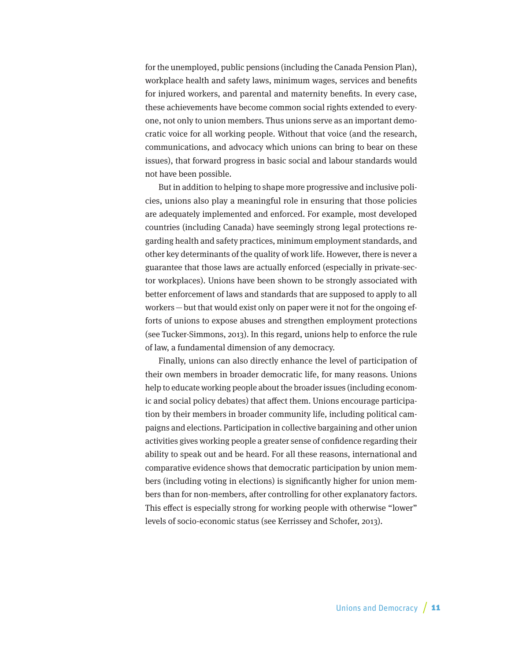for the unemployed, public pensions (including the Canada Pension Plan), workplace health and safety laws, minimum wages, services and benefits for injured workers, and parental and maternity benefits. In every case, these achievements have become common social rights extended to everyone, not only to union members. Thus unions serve as an important democratic voice for all working people. Without that voice (and the research, communications, and advocacy which unions can bring to bear on these issues), that forward progress in basic social and labour standards would not have been possible.

But in addition to helping to shape more progressive and inclusive policies, unions also play a meaningful role in ensuring that those policies are adequately implemented and enforced. For example, most developed countries (including Canada) have seemingly strong legal protections regarding health and safety practices, minimum employment standards, and other key determinants of the quality of work life. However, there is never a guarantee that those laws are actually enforced (especially in private-sector workplaces). Unions have been shown to be strongly associated with better enforcement of laws and standards that are supposed to apply to all workers—but that would exist only on paper were it not for the ongoing efforts of unions to expose abuses and strengthen employment protections (see Tucker-Simmons, 2013). In this regard, unions help to enforce the rule of law, a fundamental dimension of any democracy.

Finally, unions can also directly enhance the level of participation of their own members in broader democratic life, for many reasons. Unions help to educate working people about the broader issues (including economic and social policy debates) that affect them. Unions encourage participation by their members in broader community life, including political campaigns and elections. Participation in collective bargaining and other union activities gives working people a greater sense of confidence regarding their ability to speak out and be heard. For all these reasons, international and comparative evidence shows that democratic participation by union members (including voting in elections) is significantly higher for union members than for non-members, after controlling for other explanatory factors. This effect is especially strong for working people with otherwise "lower" levels of socio-economic status (see Kerrissey and Schofer, 2013).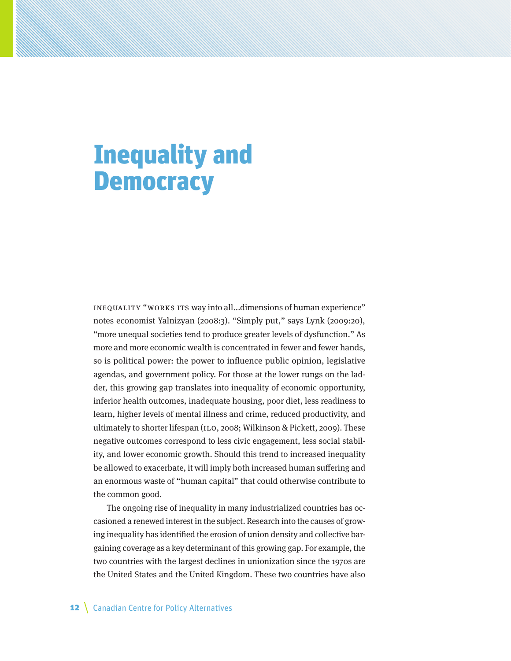# Inequality and **Democracy**

INEQUALITY "WORKS ITS way into all...dimensions of human experience" notes economist Yalnizyan (2008:3). "Simply put," says Lynk (2009:20), "more unequal societies tend to produce greater levels of dysfunction." As more and more economic wealth is concentrated in fewer and fewer hands, so is political power: the power to influence public opinion, legislative agendas, and government policy. For those at the lower rungs on the ladder, this growing gap translates into inequality of economic opportunity, inferior health outcomes, inadequate housing, poor diet, less readiness to learn, higher levels of mental illness and crime, reduced productivity, and ultimately to shorter lifespan (ILO, 2008; Wilkinson & Pickett, 2009). These negative outcomes correspond to less civic engagement, less social stability, and lower economic growth. Should this trend to increased inequality be allowed to exacerbate, it will imply both increased human suffering and an enormous waste of "human capital" that could otherwise contribute to the common good.

The ongoing rise of inequality in many industrialized countries has occasioned a renewed interest in the subject. Research into the causes of growing inequality has identified the erosion of union density and collective bargaining coverage as a key determinant of this growing gap. For example, the two countries with the largest declines in unionization since the 1970s are the United States and the United Kingdom. These two countries have also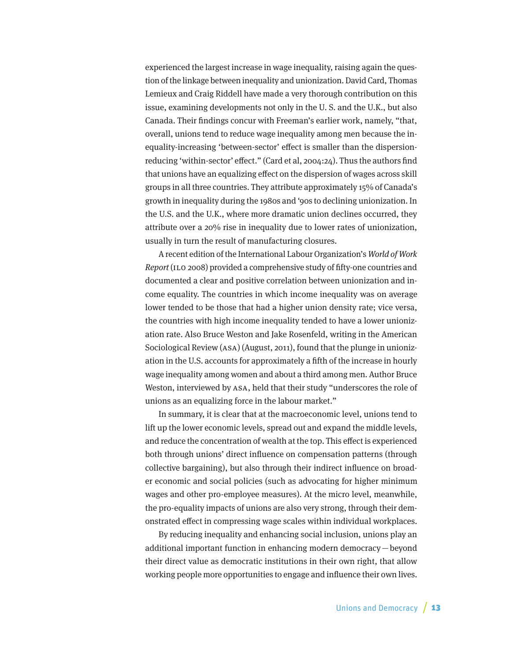experienced the largest increase in wage inequality, raising again the question of the linkage between inequality and unionization. David Card, Thomas Lemieux and Craig Riddell have made a very thorough contribution on this issue, examining developments not only in the U. S. and the U.K., but also Canada. Their findings concur with Freeman's earlier work, namely, "that, overall, unions tend to reduce wage inequality among men because the inequality-increasing 'between-sector' effect is smaller than the dispersionreducing 'within-sector' effect." (Card et al, 2004:24). Thus the authors find that unions have an equalizing effect on the dispersion of wages across skill groups in all three countries. They attribute approximately 15% of Canada's growth in inequality during the 1980s and '90s to declining unionization. In the U.S. and the U.K., where more dramatic union declines occurred, they attribute over a 20% rise in inequality due to lower rates of unionization, usually in turn the result of manufacturing closures.

A recent edition of the International Labour Organization's World of Work Report (ILO 2008) provided a comprehensive study of fifty-one countries and documented a clear and positive correlation between unionization and income equality. The countries in which income inequality was on average lower tended to be those that had a higher union density rate; vice versa, the countries with high income inequality tended to have a lower unionization rate. Also Bruce Weston and Jake Rosenfeld, writing in the American Sociological Review (ASA) (August, 2011), found that the plunge in unionization in the U.S. accounts for approximately a fifth of the increase in hourly wage inequality among women and about a third among men. Author Bruce Weston, interviewed by ASA, held that their study "underscores the role of unions as an equalizing force in the labour market."

In summary, it is clear that at the macroeconomic level, unions tend to lift up the lower economic levels, spread out and expand the middle levels, and reduce the concentration of wealth at the top. This effect is experienced both through unions' direct influence on compensation patterns (through collective bargaining), but also through their indirect influence on broader economic and social policies (such as advocating for higher minimum wages and other pro-employee measures). At the micro level, meanwhile, the pro-equality impacts of unions are also very strong, through their demonstrated effect in compressing wage scales within individual workplaces.

By reducing inequality and enhancing social inclusion, unions play an additional important function in enhancing modern democracy—beyond their direct value as democratic institutions in their own right, that allow working people more opportunities to engage and influence their own lives.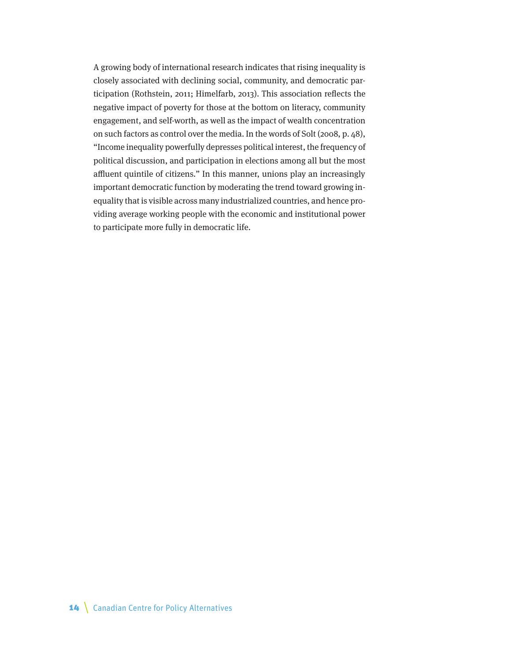A growing body of international research indicates that rising inequality is closely associated with declining social, community, and democratic participation (Rothstein, 2011; Himelfarb, 2013). This association reflects the negative impact of poverty for those at the bottom on literacy, community engagement, and self-worth, as well as the impact of wealth concentration on such factors as control over the media. In the words of Solt (2008, p. 48), "Income inequality powerfully depresses political interest, the frequency of political discussion, and participation in elections among all but the most affluent quintile of citizens." In this manner, unions play an increasingly important democratic function by moderating the trend toward growing inequality that is visible across many industrialized countries, and hence providing average working people with the economic and institutional power to participate more fully in democratic life.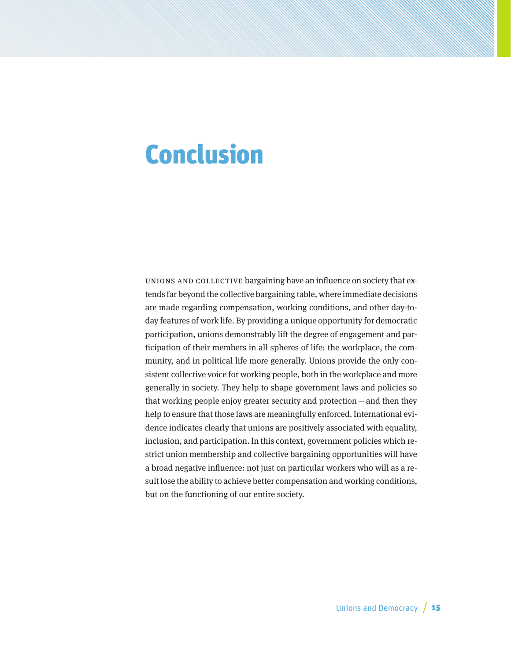## Conclusion

UNIONS AND COLLECTIVE bargaining have an influence on society that extends far beyond the collective bargaining table, where immediate decisions are made regarding compensation, working conditions, and other day-today features of work life. By providing a unique opportunity for democratic participation, unions demonstrably lift the degree of engagement and participation of their members in all spheres of life: the workplace, the community, and in political life more generally. Unions provide the only consistent collective voice for working people, both in the workplace and more generally in society. They help to shape government laws and policies so that working people enjoy greater security and protection—and then they help to ensure that those laws are meaningfully enforced. International evidence indicates clearly that unions are positively associated with equality, inclusion, and participation. In this context, government policies which restrict union membership and collective bargaining opportunities will have a broad negative influence: not just on particular workers who will as a result lose the ability to achieve better compensation and working conditions, but on the functioning of our entire society.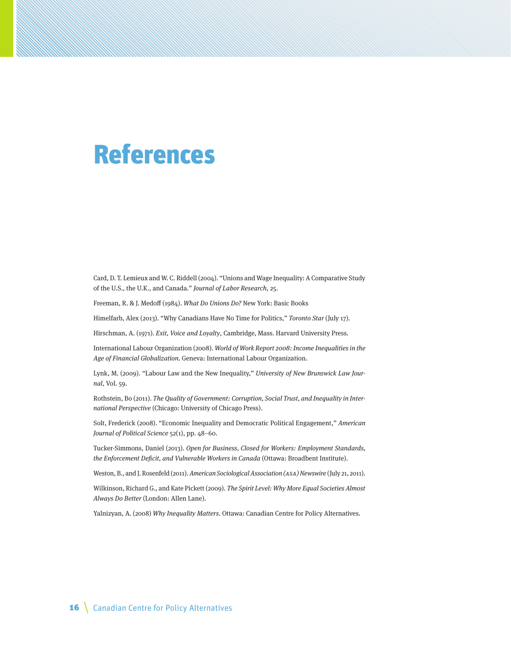### References

Card, D. T. Lemieux and W. C. Riddell (2004). "Unions and Wage Inequality: A Comparative Study of the U.S., the U.K., and Canada." Journal of Labor Research, 25.

Freeman, R. & J. Medoff (1984). What Do Unions Do? New York: Basic Books

Himelfarb, Alex (2013). "Why Canadians Have No Time for Politics," Toronto Star (July 17).

Hirschman, A. (1971). Exit, Voice and Loyalty, Cambridge, Mass. Harvard University Press.

International Labour Organization (2008). World of Work Report 2008: Income Inequalities in the Age of Financial Globalization. Geneva: International Labour Organization.

Lynk, M. (2009). "Labour Law and the New Inequality," University of New Brunswick Law Journal, Vol. 59.

Rothstein, Bo (2011). The Quality of Government: Corruption, Social Trust, and Inequality in International Perspective (Chicago: University of Chicago Press).

Solt, Frederick (2008). "Economic Inequality and Democratic Political Engagement," American Journal of Political Science 52(1), pp. 48–60.

Tucker-Simmons, Daniel (2013). Open for Business, Closed for Workers: Employment Standards, the Enforcement Deficit, and Vulnerable Workers in Canada (Ottawa: Broadbent Institute).

Weston, B., and J. Rosenfeld (2011). American Sociological Association (ASA) Newswire (July 21, 2011).

Wilkinson, Richard G., and Kate Pickett (2009). The Spirit Level: Why More Equal Societies Almost Always Do Better (London: Allen Lane).

Yalnizyan, A. (2008) Why Inequality Matters. Ottawa: Canadian Centre for Policy Alternatives.